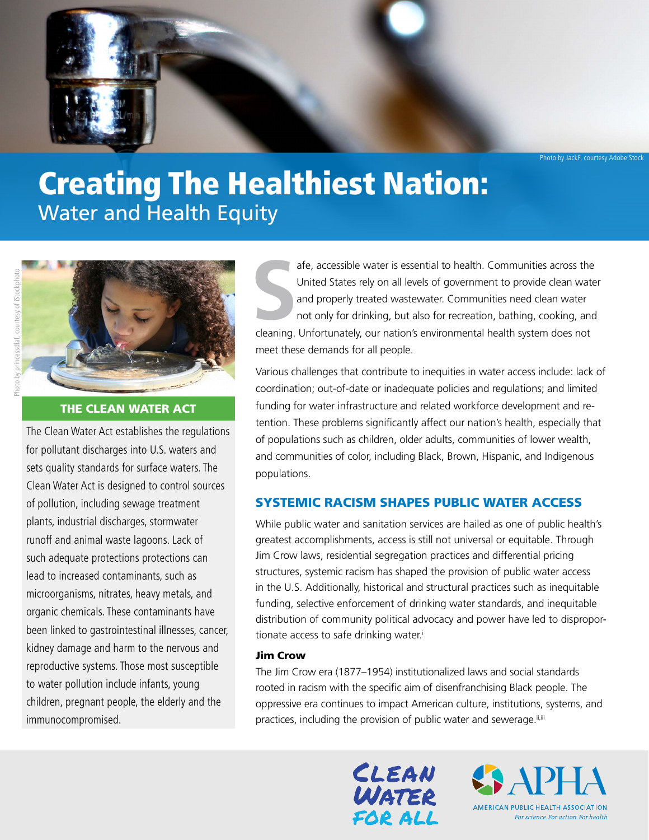Photo by JackF, courtesy Adobe Stock

# Creating The Healthiest Nation: Water and Health Equity





# THE CLEAN WATER ACT

The Clean Water Act establishes the regulations for pollutant discharges into U.S. waters and sets quality standards for surface waters. The Clean Water Act is designed to control sources of pollution, including sewage treatment plants, industrial discharges, stormwater runoff and animal waste lagoons. Lack of such adequate protections protections can lead to increased contaminants, such as microorganisms, nitrates, heavy metals, and organic chemicals. These contaminants have been linked to gastrointestinal illnesses, cancer, kidney damage and harm to the nervous and reproductive systems. Those most susceptible to water pollution include infants, young children, pregnant people, the elderly and the immunocompromised.

S<br>deaning afe, accessible water is essential to health. Communities across the United States rely on all levels of government to provide clean water and properly treated wastewater. Communities need clean water not only for drinking, but also for recreation, bathing, cooking, and cleaning. Unfortunately, our nation's environmental health system does not meet these demands for all people.

Various challenges that contribute to inequities in water access include: lack of coordination; out-of-date or inadequate policies and regulations; and limited funding for water infrastructure and related workforce development and retention. These problems significantly affect our nation's health, especially that of populations such as children, older adults, communities of lower wealth, and communities of color, including Black, Brown, Hispanic, and Indigenous populations.

# SYSTEMIC RACISM SHAPES PUBLIC WATER ACCESS

While public water and sanitation services are hailed as one of public health's greatest accomplishments, access is still not universal or equitable. Through Jim Crow laws, residential segregation practices and differential pricing structures, systemic racism has shaped the provision of public water access in the U.S. Additionally, historical and structural practices such as inequitable funding, selective enforcement of drinking water standards, and inequitable distribution of community political advocacy and power have led to disproportionate access to safe drinking water.<sup>i</sup>

#### Jim Crow

The Jim Crow era (1877–1954) institutionalized laws and social standards rooted in racism with the specific aim of disenfranchising Black people. The oppressive era continues to impact American culture, institutions, systems, and practices, including the provision of public water and sewerage.<sup>ii[,iii](#page-5-2)</sup>



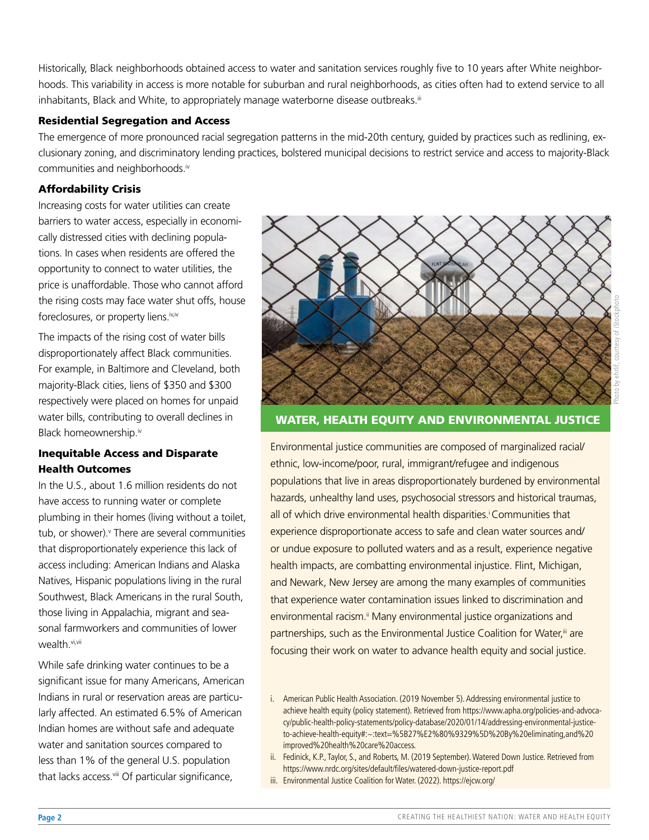Historically, Black neighborhoods obtained access to water and sanitation services roughly five to 10 years after White neighborhoods. This variability in access is more notable for suburban and rural neighborhoods, as cities often had to extend service to all inhabitants, Black and White, to appropriately manage waterborne disease outbreaks[.iii](#page-5-2)

#### Residential Segregation and Access

The emergence of more pronounced racial segregation patterns in the mid-20th century, guided by practices such as redlining, exclusionary zoning, and discriminatory lending practices, bolstered municipal decisions to restrict service and access to majority-Black communities and neighborhoods.iv

#### Affordability Crisis

Increasing costs for water utilities can create barriers to water access, especially in economically distressed cities with declining populations. In cases when residents are offered the opportunity to connect to water utilities, the price is unaffordable. Those who cannot afford the rising costs may face water shut offs, house foreclosures, or property liens.[iv,iv](#page-5-3)

The impacts of the rising cost of water bills disproportionately affect Black communities. For example, in Baltimore and Cleveland, both majority-Black cities, liens of \$350 and \$300 respectively were placed on homes for unpaid water bills, contributing to overall declines in Black homeownership.<sup>iv</sup>

### Inequitable Access and Disparate Health Outcomes

In the U.S., about 1.6 million residents do not have access to running water or complete plumbing in their homes (living without a toilet, tub, or shower).<sup>v</sup> There are several communities that disproportionately experience this lack of access including: American Indians and Alaska Natives, Hispanic populations living in the rural Southwest, Black Americans in the rural South, those living in Appalachia, migrant and seasonal farmworkers and communities of lower wealth[.vi,](#page-5-5)[vii](#page-5-6)

While safe drinking water continues to be a significant issue for many Americans, American Indians in rural or reservation areas are particularly affected. An estimated 6.5% of American Indian homes are without safe and adequate water and sanitation sources compared to less than 1% of the general U.S. population that lacks access.viii Of particular significance,



# Photo by ehrlif, courtesy of iStockphoto

# WATER, HEALTH EQUITY AND ENVIRONMENTAL JUSTICE

Environmental justice communities are composed of marginalized racial/ ethnic, low-income/poor, rural, immigrant/refugee and indigenous populations that live in areas disproportionately burdened by environmental hazards, unhealthy land uses, psychosocial stressors and historical traumas, all of which drive environmental health disparities.<sup>i</sup> Communities that experience disproportionate access to safe and clean water sources and/ or undue exposure to polluted waters and as a result, experience negative health impacts, are combatting environmental injustice. Flint, Michigan, and Newark, New Jersey are among the many examples of communities that experience water contamination issues linked to discrimination and environmental racism.<sup>ii</sup> Many environmental justice organizations and partnerships, such as the Environmental Justice Coalition for Water,<sup>iii</sup> are focusing their work on water to advance health equity and social justice.

- ii. Fedinick, K.P., Taylor, S., and Roberts, M. (2019 September). Watered Down Justice. Retrieved from https://www.nrdc.org/sites/default/files/watered-down-justice-report.pdf
- iii. Environmental Justice Coalition for Water. (2022). https://ejcw.org/

i. American Public Health Association. (2019 November 5). Addressing environmental justice to achieve health equity (policy statement). Retrieved from https://www.apha.org/policies-and-advocacy/public-health-policy-statements/policy-database/2020/01/14/addressing-environmental-justiceto-achieve-health-equity#:~:text=%5B27%E2%80%9329%5D%20By%20eliminating,and%20 improved%20health%20care%20access.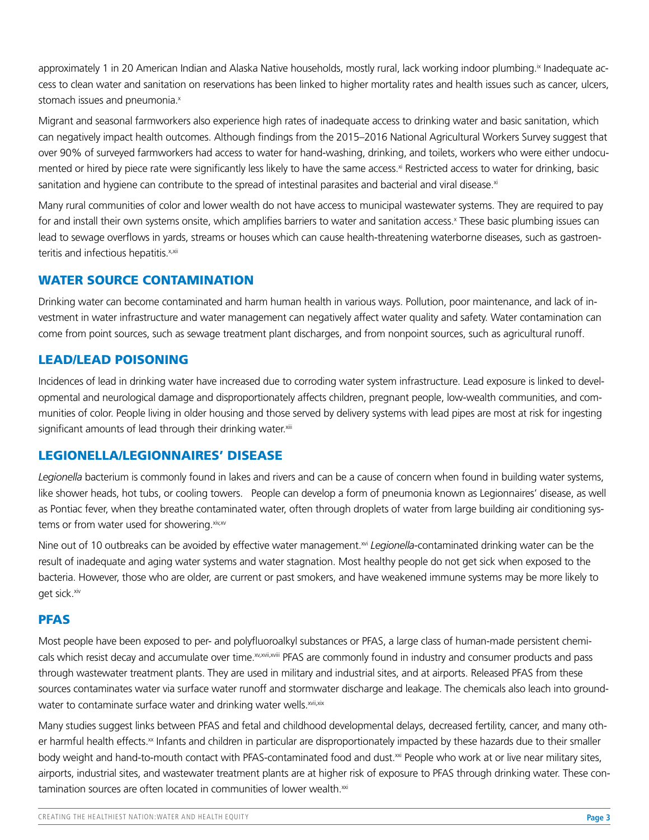approximately 1 in 20 American Indian and Alaska Native households, mostly rural, lack working indoor plumbing.<sup>[ix](#page-5-7)</sup> Inadequate access to clean water and sanitation on reservations has been linked to higher mortality rates and health issues such as cancer, ulcers, stomach issues and pneumonia.<sup>x</sup>

Migrant and seasonal farmworkers also experience high rates of inadequate access to drinking water and basic sanitation, which can negatively impact health outcomes. Although findings from the 2015–2016 National Agricultural Workers Survey suggest that over 90% of surveyed farmworkers had access to water for hand-washing, drinking, and toilets, workers who were either undocumented or hired by piece rate were significantly less likely to have the same access.<sup>xi</sup> Restricted access to water for drinking, basic sanitation and hygiene can contribute to the spread of intestinal parasites and bacterial and viral disease.<sup>xi</sup>

Many rural communities of color and lower wealth do not have access to municipal wastewater systems. They are required to pay for and install their own systems onsite, which amplifies barriers to water and sanitation access.<sup>x</sup> These basic plumbing issues can lead to sewage overflows in yards, streams or houses which can cause health-threatening waterborne diseases, such as gastroenteritis and infectious hepatitis.<sup>x,[xii](#page-6-0)</sup>

# WATER SOURCE CONTAMINATION

Drinking water can become contaminated and harm human health in various ways. Pollution, poor maintenance, and lack of investment in water infrastructure and water management can negatively affect water quality and safety. Water contamination can come from point sources, such as sewage treatment plant discharges, and from nonpoint sources, such as agricultural runoff.

# LEAD/LEAD POISONING

Incidences of lead in drinking water have increased due to corroding water system infrastructure. Lead exposure is linked to developmental and neurological damage and disproportionately affects children, pregnant people, low-wealth communities, and communities of color. People living in older housing and those served by delivery systems with lead pipes are most at risk for ingesting significant amounts of lead through their drinking water.xiii

# LEGIONELLA/LEGIONNAIRES' DISEASE

*Legionella* bacterium is commonly found in lakes and rivers and can be a cause of concern when found in building water systems, like shower heads, hot tubs, or cooling towers. People can develop a form of pneumonia known as Legionnaires' disease, as well as Pontiac fever, when they breathe contaminated water, often through droplets of water from large building air conditioning sys-tems or from water used for showering[.xiv](#page-6-2),xv

Nine out of 10 outbreaks can be avoided by effective water management.<sup>xvi</sup> Legionella-contaminated drinking water can be the result of inadequate and aging water systems and water stagnation. Most healthy people do not get sick when exposed to the bacteria. However, those who are older, are current or past smokers, and have weakened immune systems may be more likely to get sick.<sup>xiv</sup>

#### PFAS

Most people have been exposed to per- and polyfluoroalkyl substances or PFAS, a large class of human-made persistent chemi-cals which resist decay and accumulate over time.<sup>xv[,xvii](#page-6-4)[,xviii](#page-6-5)</sup> PFAS are commonly found in industry and consumer products and pass through wastewater treatment plants. They are used in military and industrial sites, and at airports. Released PFAS from these sources contaminates water via surface water runoff and stormwater discharge and leakage. The chemicals also leach into groundwater to contaminate surface water and drinking water wells.<sup>[xvii,](#page-6-4)[xix](#page-6-6)</sup>

Many studies suggest links between PFAS and fetal and childhood developmental delays, decreased fertility, cancer, and many other harmful health effects.<sup>xx</sup> Infants and children in particular are disproportionately impacted by these hazards due to their smaller body weight and hand-to-mouth contact with PFAS-contaminated food and dust.<sup>[xxi](#page-6-8)</sup> People who work at or live near military sites, airports, industrial sites, and wastewater treatment plants are at higher risk of exposure to PFAS through drinking water. These contamination sources are often located in communities of lower wealth.<sup>xxi</sup>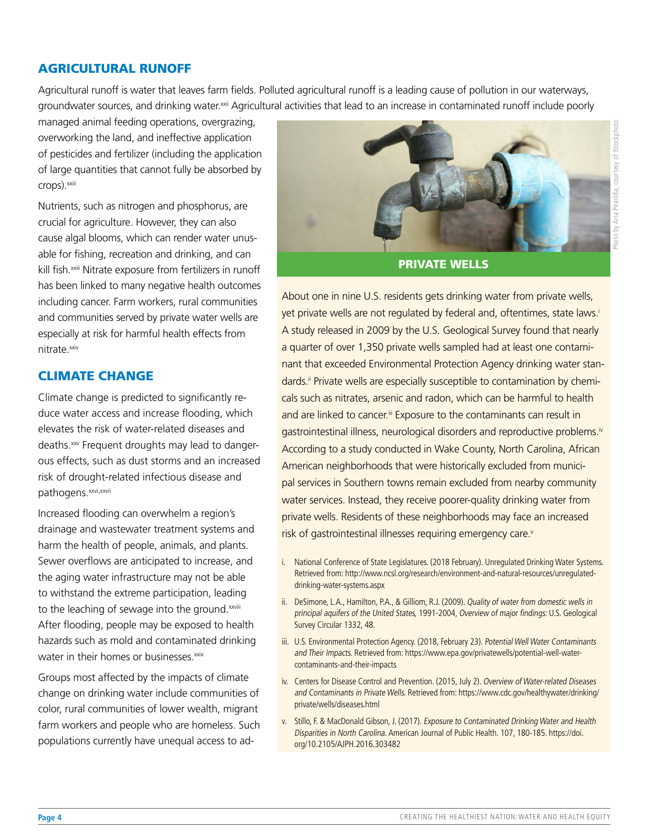#### AGRICULTURAL RUNOFF

Agricultural runoff is water that leaves farm fields. Polluted agricultural runoff is a leading cause of pollution in our waterways, groundwater sources, and drinking water.<sup>xxii</sup> Agricultural activities that lead to an increase in contaminated runoff include poorly

managed animal feeding operations, overgrazing, overworking the land, and ineffective application of pesticides and fertilizer (including the application of large quantities that cannot fully be absorbed by crops).<sup>xxiii</sup>

Nutrients, such as nitrogen and phosphorus, are crucial for agriculture. However, they can also cause algal blooms, which can render water unusable for fishing, recreation and drinking, and can kill fish.<sup>xxiii</sup> Nitrate exposure from fertilizers in runoff has been linked to many negative health outcomes including cancer. Farm workers, rural communities and communities served by private water wells are especially at risk for harmful health effects from nitrate.<sup>xxiv</sup>

#### CLIMATE CHANGE

Climate change is predicted to significantly reduce water access and increase flooding, which elevates the risk of water-related diseases and deaths.<sup>xxv</sup> Frequent droughts may lead to dangerous effects, such as dust storms and an increased risk of drought-related infectious disease and pathogens.<sup>[xxvi](#page-6-13)[,xxvii](#page-6-14)</sup>

Increased flooding can overwhelm a region's drainage and wastewater treatment systems and harm the health of people, animals, and plants. Sewer overflows are anticipated to increase, and the aging water infrastructure may not be able to withstand the extreme participation, leading to the leaching of sewage into the ground.<sup>[xxviii](#page-6-15)</sup> After flooding, people may be exposed to health hazards such as mold and contaminated drinking water in their homes or businesses.<sup>xxix</sup>

Groups most affected by the impacts of climate change on drinking water include communities of color, rural communities of lower wealth, migrant farm workers and people who are homeless. Such populations currently have unequal access to ad-



PRIVATE WELLS

About one in nine U.S. residents gets drinking water from private wells, yet private wells are not regulated by federal and, oftentimes, state laws.<sup>i</sup> A study released in 2009 by the U.S. Geological Survey found that nearly a quarter of over 1,350 private wells sampled had at least one contaminant that exceeded Environmental Protection Agency drinking water standards.<sup>ii</sup> Private wells are especially susceptible to contamination by chemicals such as nitrates, arsenic and radon, which can be harmful to health and are linked to cancer.<sup>[iii](#page-3-1)</sup> Exposure to the contaminants can result in gastrointestinal illness, neurological disorders and reproductive problems.<sup>iv</sup> According to a study conducted in Wake County, North Carolina, African American neighborhoods that were historically excluded from municipal services in Southern towns remain excluded from nearby community water services. Instead, they receive poorer-quality drinking water from private wells. Residents of these neighborhoods may face an increased risk of gastrointestinal illnesses requiring emergency care.<sup>[v](#page-3-3)</sup>

- i. National Conference of State Legislatures. (2018 February). Unregulated Drinking Water Systems. Retrieved from: http://www.ncsl.org/research/environment-and-natural-resources/unregulateddrinking-water-systems.aspx
- <span id="page-3-0"></span>ii. DeSimone, L.A., Hamilton, P.A., & Gilliom, R.J. (2009). Quality of water from domestic wells in principal aquifers of the United States, 1991-2004, Overview of major findings: U.S. Geological Survey Circular 1332, 48.
- <span id="page-3-1"></span>iii. U.S. Environmental Protection Agency. (2018, February 23). Potential Well Water Contaminants and Their Impacts. Retrieved from: https://www.epa.gov/privatewells/potential-well-watercontaminants-and-their-impacts
- <span id="page-3-2"></span>iv. Centers for Disease Control and Prevention. (2015, July 2). Overview of Water-related Diseases and Contaminants in Private Wells. Retrieved from: https://www.cdc.gov/healthywater/drinking/ private/wells/diseases.html
- <span id="page-3-3"></span>v. Stillo, F. & MacDonald Gibson, J. (2017). Exposure to Contaminated Drinking Water and Health Disparities in North Carolina. American Journal of Public Health. 107, 180-185. https://doi. org/10.2105/AJPH.2016.303482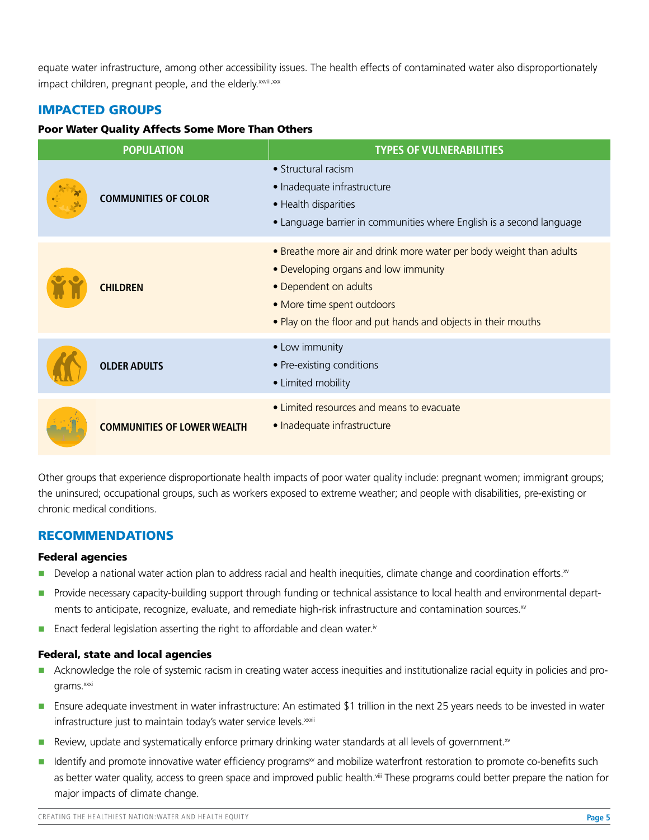equate water infrastructure, among other accessibility issues. The health effects of contaminated water also disproportionately impact children, pregnant people, and the elderly. xxviii,xxx

# IMPACTED GROUPS

#### Poor Water Quality Affects Some More Than Others

| <b>POPULATION</b>                  | <b>TYPES OF VULNERABILITIES</b>                                                                                                                                                                                                     |
|------------------------------------|-------------------------------------------------------------------------------------------------------------------------------------------------------------------------------------------------------------------------------------|
| <b>COMMUNITIES OF COLOR</b>        | • Structural racism<br>• Inadequate infrastructure<br>• Health disparities<br>• Language barrier in communities where English is a second language                                                                                  |
| <b>CHILDREN</b>                    | • Breathe more air and drink more water per body weight than adults<br>• Developing organs and low immunity<br>• Dependent on adults<br>• More time spent outdoors<br>• Play on the floor and put hands and objects in their mouths |
| <b>OLDER ADULTS</b>                | • Low immunity<br>• Pre-existing conditions<br>• Limited mobility                                                                                                                                                                   |
| <b>COMMUNITIES OF LOWER WEALTH</b> | • Limited resources and means to evacuate<br>• Inadequate infrastructure                                                                                                                                                            |

Other groups that experience disproportionate health impacts of poor water quality include: pregnant women; immigrant groups; the uninsured; occupational groups, such as workers exposed to extreme weather; and people with disabilities, pre-existing or chronic medical conditions.

#### RECOMMENDATIONS

#### Federal agencies

- Develop a national water action plan to address racial and health inequities, climate change and coordination efforts.[xv](#page-6-3)
- Provide necessary capacity-building support through funding or technical assistance to local health and environmental depart-ments to anticipate, recognize, evaluate, and remediate high-risk infrastructure and contamination sources[.xv](#page-6-3)
- **Enact federal legislation asserting the right to affordable and clean water.**[iv](#page-5-3)

#### Federal, state and local agencies

- Acknowledge the role of systemic racism in creating water access inequities and institutionalize racial equity in policies and programs.<sup>xxi</sup>
- Ensure adequate investment in water infrastructure: An estimated \$1 trillion in the next 25 years needs to be invested in water infrastructure just to maintain today's water service levels. xxxii
- Review, update and systematically enforce primary drinking water standards at all levels of government.<sup>xv</sup>
- Identify and promote innovative water efficiency programs<sup>xv</sup> and mobilize waterfront restoration to promote co-benefits such as better water quality, access to green space and improved public health.<sup>viii</sup> These programs could better prepare the nation for major impacts of climate change.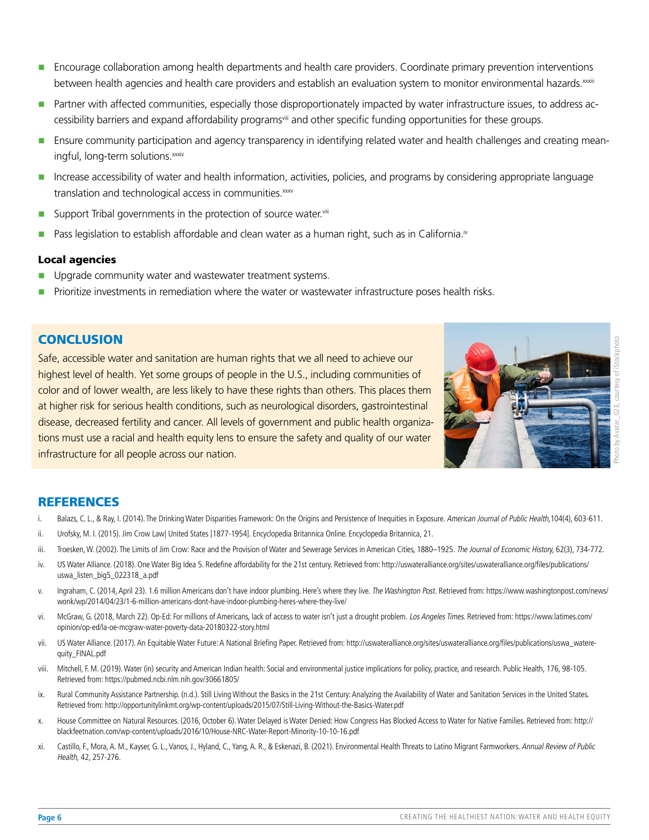- Encourage collaboration among health departments and health care providers. Coordinate primary prevention interventions between health agencies and health care providers and establish an evaluation system to monitor environmental hazards[.xxxiii](#page-6-19)
- **Partner with affected communities, especially those disproportionately impacted by water infrastructure issues, to address ac**cessibility barriers and expand affordability program[sviii](#page-5-10) and other specific funding opportunities for these groups.
- **Ensure community participation and agency transparency in identifying related water and health challenges and creating mean-**ingful, long-term solutions[.xxxiv](#page-6-20)
- **Increase accessibility of water and health information, activities, policies, and programs by considering appropriate language** translation and technological access in communities.[xxxv](#page-6-21)
- Support Tribal governments in the protection of source water. $v^{ij}$
- Pass legislation to establish affordable and clean water as a human right, such as in California.<sup>iv</sup>

#### Local agencies

- Upgrade community water and wastewater treatment systems.
- Prioritize investments in remediation where the water or wastewater infrastructure poses health risks.

#### **CONCLUSION**

Safe, accessible water and sanitation are human rights that we all need to achieve our highest level of health. Yet some groups of people in the U.S., including communities of color and of lower wealth, are less likely to have these rights than others. This places them at higher risk for serious health conditions, such as neurological disorders, gastrointestinal disease, decreased fertility and cancer. All levels of government and public health organizations must use a racial and health equity lens to ensure the safety and quality of our water infrastructure for all people across our nation.



# **REFERENCES**

- <span id="page-5-0"></span>Balazs, C. L., & Ray, I. (2014). The Drinking Water Disparities Framework: On the Origins and Persistence of Inequities in Exposure. American Journal of Public Health, 104(4), 603-611.
- <span id="page-5-1"></span>ii. Urofsky, M. I. (2015). Jim Crow Law| United States [1877-1954]. Encyclopedia Britannica Online. Encyclopedia Britannica, 21.
- <span id="page-5-2"></span>iii. Troesken, W. (2002). The Limits of Jim Crow: Race and the Provision of Water and Sewerage Services in American Cities, 1880–1925. The Journal of Economic History, 62(3), 734-772.
- <span id="page-5-3"></span>iv. US Water Alliance. (2018). One Water Big Idea 5. Redefine affordability for the 21st century. Retrieved from: http://uswateralliance.org/sites/uswateralliance.org/files/publications/ uswa\_listen\_big5\_022318\_a.pdf
- <span id="page-5-4"></span>v. Ingraham, C. (2014, April 23). 1.6 million Americans don't have indoor plumbing. Here's where they live. The Washington Post. Retrieved from: https://www.washingtonpost.com/news/ wonk/wp/2014/04/23/1-6-million-americans-dont-have-indoor-plumbing-heres-where-they-live/
- <span id="page-5-5"></span>vi. McGraw, G. (2018, March 22). Op-Ed: For millions of Americans, lack of access to water isn't just a drought problem. Los Angeles Times. Retrieved from: https://www.latimes.com/ opinion/op-ed/la-oe-mcgraw-water-poverty-data-20180322-story.html
- <span id="page-5-6"></span>vii. US Water Alliance. (2017). An Equitable Water Future: A National Briefing Paper. Retrieved from: http://uswateralliance.org/sites/uswateralliance.org/files/publications/uswa\_waterequity\_FINAL.pdf
- <span id="page-5-10"></span>viii. Mitchell, F. M. (2019). Water (in) security and American Indian health: Social and environmental justice implications for policy, practice, and research. Public Health, 176, 98-105. Retrieved from: [https://pubmed.ncbi.nlm.nih.gov/30661805/](http://)
- <span id="page-5-7"></span>ix. Rural Community Assistance Partnership. (n.d.). Still Living Without the Basics in the 21st Century: Analyzing the Availability of Water and Sanitation Services in the United States. Retrieved from: http://opportunitylinkmt.org/wp-content/uploads/2015/07/Still-Living-Without-the-Basics-Water.pdf
- <span id="page-5-8"></span>x. House Committee on Natural Resources. (2016, October 6). Water Delayed is Water Denied: How Congress Has Blocked Access to Water for Native Families. Retrieved from: http:// blackfeetnation.com/wp-content/uploads/2016/10/House-NRC-Water-Report-Minority-10-10-16.pdf
- <span id="page-5-9"></span>xi. Castillo, F., Mora, A. M., Kayser, G. L., Vanos, J., Hyland, C., Yang, A. R., & Eskenazi, B. (2021). Environmental Health Threats to Latino Migrant Farmworkers. Annual Review of Public Health, 42, 257-276.